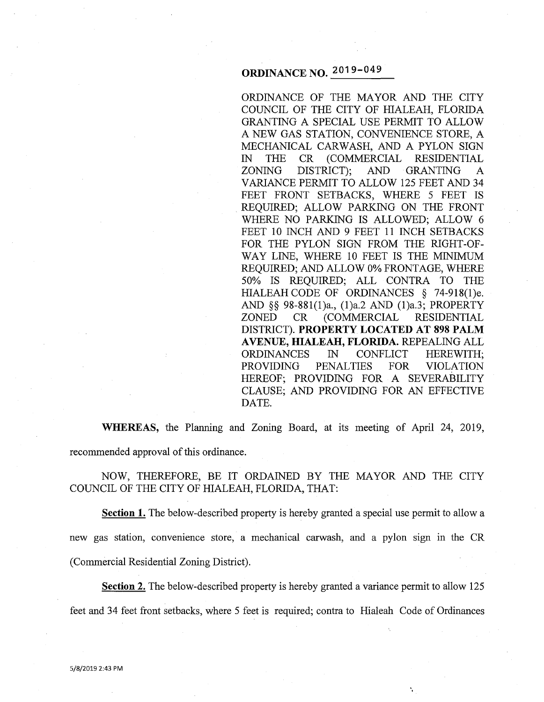# **ORDINANCE NO. 2019-049**

ORDINANCE OF THE MAYOR AND THE CITY COUNCIL OF THE CITY OF HIALEAH, FLORIDA GRANTING A SPECIAL USE PERMIT TO ALLOW A NEW GAS STATION, CONVENIENCE STORE, A MECHANICAL CARWASH, AND A PYLON SIGN IN THE CR (COMMERCIAL RESIDENTIAL ZONING DISTRICT); AND GRANTING A VARIANCE PERMIT TO ALLOW 125 FEET AND 34 FEET FRONT SETBACKS, WHERE 5 FEET IS REQUIRED; ALLOW PARKING ON THE FRONT WHERE NO PARKING IS ALLOWED; ALLOW 6 FEET 10 INCH AND 9 FEET 11 INCH SETBACKS FOR THE PYLON SIGN FROM THE RIGHT-OF-WAY LINE, WHERE 10 FEET IS THE MINIMUM REQUIRED; AND ALLOW 0% FRONTAGE, WHERE 50% IS REQUIRED; ALL CONTRA TO THE HIALEAH CODE OF ORDINANCES § 74-918(1)e. AND §§ 98-881(1)a., (l)a.2 AND (l)a.3; PROPERTY ZONED CR (COMMERCIAL RESIDENTIAL DISTRICT). **PROPERTY LOCATED AT 898 PALM A VENUE, HIALEAH, FLORIDA.** REPEALING ALL ORDINANCES IN CONFLICT HEREWITH; PROVIDING PENALTIES FOR VIOLATION HEREOF; PROVIDING FOR A SEVERABILITY CLAUSE; AND PROVIDING FOR AN EFFECTIVE DATE.

÷,

**WHEREAS,** the Planning and Zoning Board, at its meeting of April 24, 2019, recommended approval of this ordinance.

NOW, THEREFORE, BE IT ORDAINED BY THE MAYOR AND THE CITY COUNCIL OF THE CITY OF HIALEAH, FLORIDA, THAT:

**Section 1.** The below-described property is hereby granted a special use permit to allow a new gas station, convenience store, a mechanical carwash, and a pylon sign in the CR (Commercial Residential Zoning District).

**Section 2.** The below-described property is hereby granted a variance permit to allow 125 feet and 34 feet front setbacks, where 5 feet is required; contra to Hialeah Code of Ordinances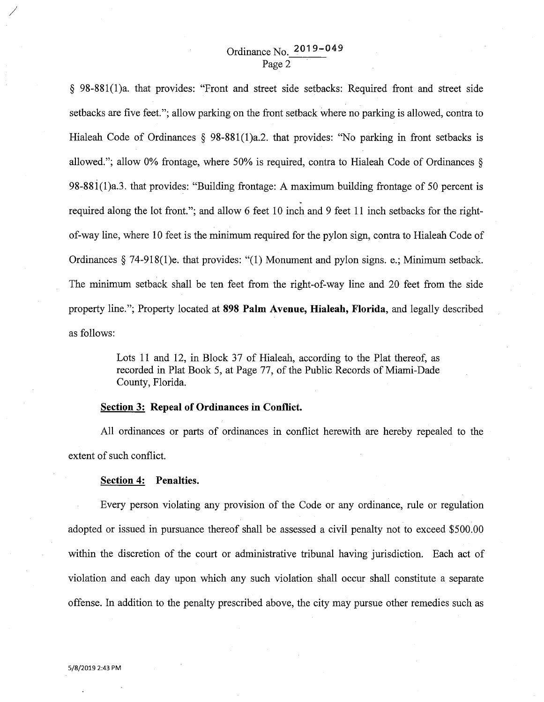# Ordinance No. **2019-049**  Page 2

§ 98-881(1)a. that provides: "Front and street side setbacks: Required front and street side setbacks are five feet."; allow parking on the front setback where no parking is allowed, contra to Hialeah Code of Ordinances § 98-881(1)a.2. that provides: "No parking in front setbacks is allowed."; allow 0% frontage, where 50% is required, contra to Hialeah Code of Ordinances § 98-881(1)a.3. that provides: "Building frontage: A maximum building frontage of 50 percent is > required along the lot front."; and allow 6 feet 10 inch and 9 feet 11 inch setbacks for the rightof-way line, where 10 feet is the minimum required for the pylon sign, contra to Hialeah Code of Ordinances § 74-918(1)e. that provides: "(1) Monument and pylon signs. e.; Minimum setback. The minimum setback shall be ten feet from the right-of-way line and 20 feet from the side property line."; Property located at **898 Palm Avenue, Hialeah, Florida,** and legally described as follows:

> Lots 11 and 12, in Block 37 of Hialeah, according to the Plat thereof, as recorded in Plat Book 5, at Page 77, of the Public Records of Miami-Dade County, Florida.

### **Section 3: Repeal of Ordinances in Conflict.**

All ordinances or parts of ordinances in conflict herewith are hereby repealed to the extent of such conflict.

#### **Section 4: Penalties.**

Every person violating any provision of the Code or any ordinance, rule or regulation adopted or issued in pursuance thereof shall be assessed a civil penalty not to exceed \$500.00 within the discretion of the court or administrative tribunal having jurisdiction. Each act of violation and each day upon which any such violation shall occur shall constitute a separate offense. In addition to the penalty prescribed above, the city may pursue other remedies such as

*/*